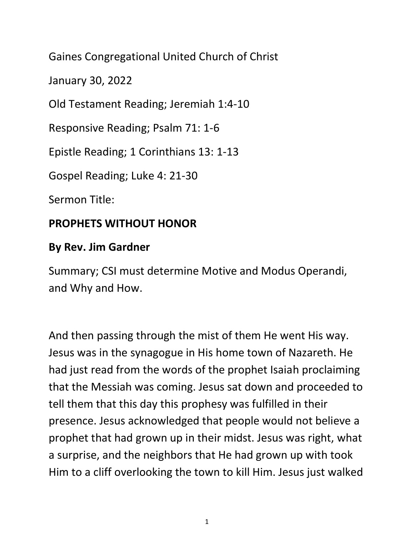Gaines Congregational United Church of Christ

January 30, 2022

Old Testament Reading; Jeremiah 1:4-10

Responsive Reading; Psalm 71: 1-6

Epistle Reading; 1 Corinthians 13: 1-13

Gospel Reading; Luke 4: 21-30

Sermon Title:

## **PROPHETS WITHOUT HONOR**

## **By Rev. Jim Gardner**

Summary; CSI must determine Motive and Modus Operandi, and Why and How.

And then passing through the mist of them He went His way. Jesus was in the synagogue in His home town of Nazareth. He had just read from the words of the prophet Isaiah proclaiming that the Messiah was coming. Jesus sat down and proceeded to tell them that this day this prophesy was fulfilled in their presence. Jesus acknowledged that people would not believe a prophet that had grown up in their midst. Jesus was right, what a surprise, and the neighbors that He had grown up with took Him to a cliff overlooking the town to kill Him. Jesus just walked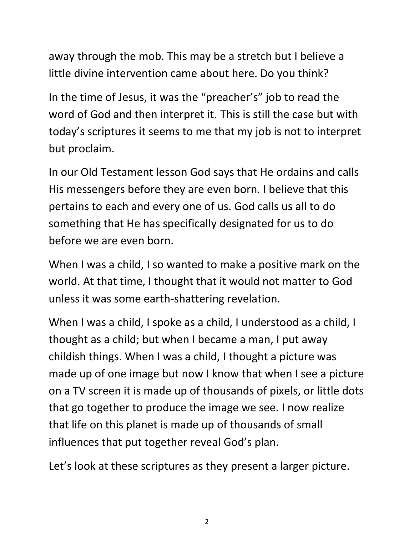away through the mob. This may be a stretch but I believe a little divine intervention came about here. Do you think?

In the time of Jesus, it was the "preacher's" job to read the word of God and then interpret it. This is still the case but with today's scriptures it seems to me that my job is not to interpret but proclaim.

In our Old Testament lesson God says that He ordains and calls His messengers before they are even born. I believe that this pertains to each and every one of us. God calls us all to do something that He has specifically designated for us to do before we are even born.

When I was a child, I so wanted to make a positive mark on the world. At that time, I thought that it would not matter to God unless it was some earth-shattering revelation.

When I was a child, I spoke as a child, I understood as a child, I thought as a child; but when I became a man, I put away childish things. When I was a child, I thought a picture was made up of one image but now I know that when I see a picture on a TV screen it is made up of thousands of pixels, or little dots that go together to produce the image we see. I now realize that life on this planet is made up of thousands of small influences that put together reveal God's plan.

Let's look at these scriptures as they present a larger picture.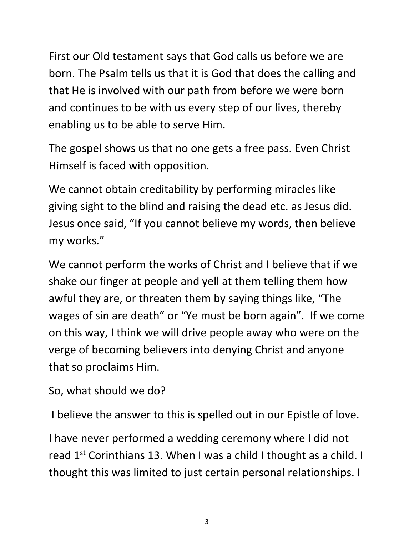First our Old testament says that God calls us before we are born. The Psalm tells us that it is God that does the calling and that He is involved with our path from before we were born and continues to be with us every step of our lives, thereby enabling us to be able to serve Him.

The gospel shows us that no one gets a free pass. Even Christ Himself is faced with opposition.

We cannot obtain creditability by performing miracles like giving sight to the blind and raising the dead etc. as Jesus did. Jesus once said, "If you cannot believe my words, then believe my works."

We cannot perform the works of Christ and I believe that if we shake our finger at people and yell at them telling them how awful they are, or threaten them by saying things like, "The wages of sin are death" or "Ye must be born again". If we come on this way, I think we will drive people away who were on the verge of becoming believers into denying Christ and anyone that so proclaims Him.

So, what should we do?

I believe the answer to this is spelled out in our Epistle of love.

I have never performed a wedding ceremony where I did not read  $1^{st}$  Corinthians 13. When I was a child I thought as a child. I thought this was limited to just certain personal relationships. I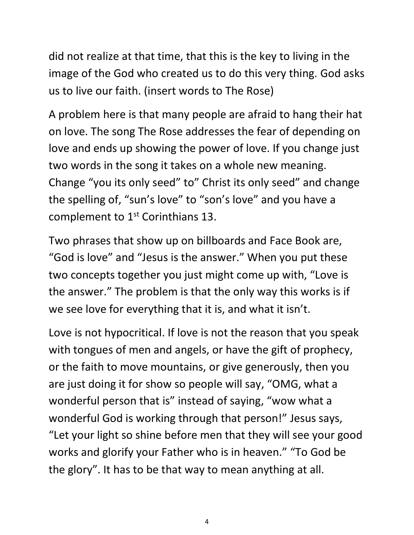did not realize at that time, that this is the key to living in the image of the God who created us to do this very thing. God asks us to live our faith. (insert words to The Rose)

A problem here is that many people are afraid to hang their hat on love. The song The Rose addresses the fear of depending on love and ends up showing the power of love. If you change just two words in the song it takes on a whole new meaning. Change "you its only seed" to" Christ its only seed" and change the spelling of, "sun's love" to "son's love" and you have a complement to 1<sup>st</sup> Corinthians 13.

Two phrases that show up on billboards and Face Book are, "God is love" and "Jesus is the answer." When you put these two concepts together you just might come up with, "Love is the answer." The problem is that the only way this works is if we see love for everything that it is, and what it isn't.

Love is not hypocritical. If love is not the reason that you speak with tongues of men and angels, or have the gift of prophecy, or the faith to move mountains, or give generously, then you are just doing it for show so people will say, "OMG, what a wonderful person that is" instead of saying, "wow what a wonderful God is working through that person!" Jesus says, "Let your light so shine before men that they will see your good works and glorify your Father who is in heaven." "To God be the glory". It has to be that way to mean anything at all.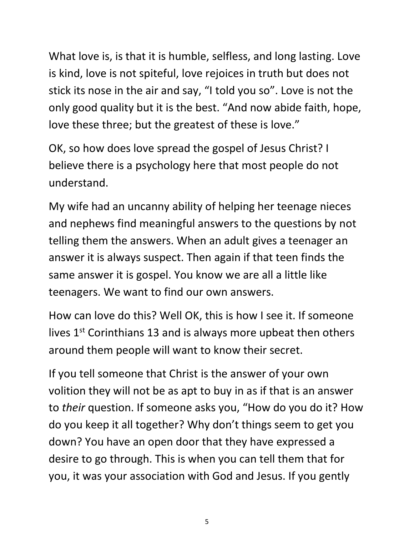What love is, is that it is humble, selfless, and long lasting. Love is kind, love is not spiteful, love rejoices in truth but does not stick its nose in the air and say, "I told you so". Love is not the only good quality but it is the best. "And now abide faith, hope, love these three; but the greatest of these is love."

OK, so how does love spread the gospel of Jesus Christ? I believe there is a psychology here that most people do not understand.

My wife had an uncanny ability of helping her teenage nieces and nephews find meaningful answers to the questions by not telling them the answers. When an adult gives a teenager an answer it is always suspect. Then again if that teen finds the same answer it is gospel. You know we are all a little like teenagers. We want to find our own answers.

How can love do this? Well OK, this is how I see it. If someone lives  $1<sup>st</sup>$  Corinthians 13 and is always more upbeat then others around them people will want to know their secret.

If you tell someone that Christ is the answer of your own volition they will not be as apt to buy in as if that is an answer to *their* question. If someone asks you, "How do you do it? How do you keep it all together? Why don't things seem to get you down? You have an open door that they have expressed a desire to go through. This is when you can tell them that for you, it was your association with God and Jesus. If you gently